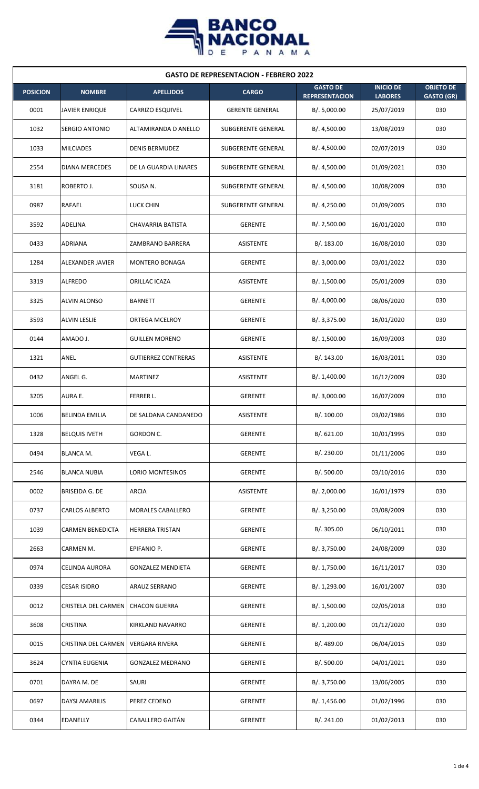

| <b>GASTO DE REPRESENTACION - FEBRERO 2022</b> |                         |                            |                        |                                          |                                    |                                       |  |
|-----------------------------------------------|-------------------------|----------------------------|------------------------|------------------------------------------|------------------------------------|---------------------------------------|--|
| <b>POSICION</b>                               | <b>NOMBRE</b>           | <b>APELLIDOS</b>           | <b>CARGO</b>           | <b>GASTO DE</b><br><b>REPRESENTACION</b> | <b>INICIO DE</b><br><b>LABORES</b> | <b>OBJETO DE</b><br><b>GASTO (GR)</b> |  |
| 0001                                          | <b>JAVIER ENRIQUE</b>   | <b>CARRIZO ESQUIVEL</b>    | <b>GERENTE GENERAL</b> | B/.5,000.00                              | 25/07/2019                         | 030                                   |  |
| 1032                                          | <b>SERGIO ANTONIO</b>   | ALTAMIRANDA D ANELLO       | SUBGERENTE GENERAL     | B/.4,500.00                              | 13/08/2019                         | 030                                   |  |
| 1033                                          | <b>MILCIADES</b>        | <b>DENIS BERMUDEZ</b>      | SUBGERENTE GENERAL     | B/.4,500.00                              | 02/07/2019                         | 030                                   |  |
| 2554                                          | <b>DIANA MERCEDES</b>   | DE LA GUARDIA LINARES      | SUBGERENTE GENERAL     | B/. 4,500.00                             | 01/09/2021                         | 030                                   |  |
| 3181                                          | ROBERTO J.              | SOUSA N.                   | SUBGERENTE GENERAL     | B/. 4,500.00                             | 10/08/2009                         | 030                                   |  |
| 0987                                          | <b>RAFAEL</b>           | <b>LUCK CHIN</b>           | SUBGERENTE GENERAL     | B/. 4,250.00                             | 01/09/2005                         | 030                                   |  |
| 3592                                          | <b>ADELINA</b>          | <b>CHAVARRIA BATISTA</b>   | <b>GERENTE</b>         | B/.2,500.00                              | 16/01/2020                         | 030                                   |  |
| 0433                                          | <b>ADRIANA</b>          | ZAMBRANO BARRERA           | <b>ASISTENTE</b>       | B/. 183.00                               | 16/08/2010                         | 030                                   |  |
| 1284                                          | ALEXANDER JAVIER        | MONTERO BONAGA             | <b>GERENTE</b>         | B/. 3,000.00                             | 03/01/2022                         | 030                                   |  |
| 3319                                          | <b>ALFREDO</b>          | ORILLAC ICAZA              | <b>ASISTENTE</b>       | B/. 1,500.00                             | 05/01/2009                         | 030                                   |  |
| 3325                                          | <b>ALVIN ALONSO</b>     | <b>BARNETT</b>             | GERENTE                | B/. 4,000.00                             | 08/06/2020                         | 030                                   |  |
| 3593                                          | <b>ALVIN LESLIE</b>     | <b>ORTEGA MCELROY</b>      | GERENTE                | B/. 3,375.00                             | 16/01/2020                         | 030                                   |  |
| 0144                                          | AMADO J.                | <b>GUILLEN MORENO</b>      | GERENTE                | B/. 1,500.00                             | 16/09/2003                         | 030                                   |  |
| 1321                                          | ANEL                    | <b>GUTIERREZ CONTRERAS</b> | ASISTENTE              | B/.143.00                                | 16/03/2011                         | 030                                   |  |
| 0432                                          | ANGEL G.                | <b>MARTINEZ</b>            | <b>ASISTENTE</b>       | B/. 1,400.00                             | 16/12/2009                         | 030                                   |  |
| 3205                                          | AURA E.                 | FERRER L.                  | <b>GERENTE</b>         | B/. 3,000.00                             | 16/07/2009                         | 030                                   |  |
| 1006                                          | <b>BELINDA EMILIA</b>   | DE SALDANA CANDANEDO       | <b>ASISTENTE</b>       | B/. 100.00                               | 03/02/1986                         | 030                                   |  |
| 1328                                          | <b>BELQUIS IVETH</b>    | GORDON C.                  | GERENTE                | B/0.621.00                               | 10/01/1995                         | 030                                   |  |
| 0494                                          | <b>BLANCA M.</b>        | VEGA L.                    | <b>GERENTE</b>         | B/. 230.00                               | 01/11/2006                         | 030                                   |  |
| 2546                                          | <b>BLANCA NUBIA</b>     | <b>LORIO MONTESINOS</b>    | <b>GERENTE</b>         | B/. 500.00                               | 03/10/2016                         | 030                                   |  |
| 0002                                          | BRISEIDA G. DE          | ARCIA                      | <b>ASISTENTE</b>       | B/. 2,000.00                             | 16/01/1979                         | 030                                   |  |
| 0737                                          | <b>CARLOS ALBERTO</b>   | <b>MORALES CABALLERO</b>   | <b>GERENTE</b>         | B/. 3,250.00                             | 03/08/2009                         | 030                                   |  |
| 1039                                          | <b>CARMEN BENEDICTA</b> | <b>HERRERA TRISTAN</b>     | <b>GERENTE</b>         | B/. 305.00                               | 06/10/2011                         | 030                                   |  |
| 2663                                          | CARMEN M.               | EPIFANIO P.                | <b>GERENTE</b>         | B/. 3,750.00                             | 24/08/2009                         | 030                                   |  |
| 0974                                          | <b>CELINDA AURORA</b>   | <b>GONZALEZ MENDIETA</b>   | <b>GERENTE</b>         | B/. 1,750.00                             | 16/11/2017                         | 030                                   |  |
| 0339                                          | <b>CESAR ISIDRO</b>     | ARAUZ SERRANO              | GERENTE                | B/. 1,293.00                             | 16/01/2007                         | 030                                   |  |
| 0012                                          | CRISTELA DEL CARMEN     | <b>CHACON GUERRA</b>       | <b>GERENTE</b>         | B/. 1,500.00                             | 02/05/2018                         | 030                                   |  |
| 3608                                          | <b>CRISTINA</b>         | KIRKLAND NAVARRO           | <b>GERENTE</b>         | B/. 1,200.00                             | 01/12/2020                         | 030                                   |  |
| 0015                                          | CRISTINA DEL CARMEN     | <b>VERGARA RIVERA</b>      | GERENTE                | B/. 489.00                               | 06/04/2015                         | 030                                   |  |
| 3624                                          | <b>CYNTIA EUGENIA</b>   | <b>GONZALEZ MEDRANO</b>    | GERENTE                | B/. 500.00                               | 04/01/2021                         | 030                                   |  |
| 0701                                          | DAYRA M. DE             | SAURI                      | <b>GERENTE</b>         | B/. 3,750.00                             | 13/06/2005                         | 030                                   |  |
| 0697                                          | <b>DAYSI AMARILIS</b>   | PEREZ CEDENO               | <b>GERENTE</b>         | B/. 1,456.00                             | 01/02/1996                         | 030                                   |  |
| 0344                                          | <b>EDANELLY</b>         | CABALLERO GAITÁN           | <b>GERENTE</b>         | B/.241.00                                | 01/02/2013                         | 030                                   |  |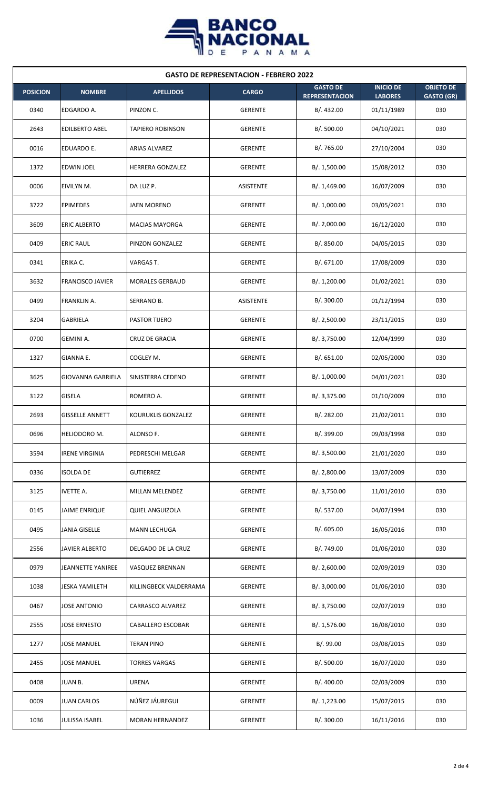

| <b>GASTO DE REPRESENTACION - FEBRERO 2022</b> |                          |                         |                |                                          |                                    |                                       |  |  |
|-----------------------------------------------|--------------------------|-------------------------|----------------|------------------------------------------|------------------------------------|---------------------------------------|--|--|
| <b>POSICION</b>                               | <b>NOMBRE</b>            | <b>APELLIDOS</b>        | <b>CARGO</b>   | <b>GASTO DE</b><br><b>REPRESENTACION</b> | <b>INICIO DE</b><br><b>LABORES</b> | <b>OBJETO DE</b><br><b>GASTO (GR)</b> |  |  |
| 0340                                          | EDGARDO A.               | PINZON C.               | <b>GERENTE</b> | B/. 432.00                               | 01/11/1989                         | 030                                   |  |  |
| 2643                                          | <b>EDILBERTO ABEL</b>    | <b>TAPIERO ROBINSON</b> | <b>GERENTE</b> | B/. 500.00                               | 04/10/2021                         | 030                                   |  |  |
| 0016                                          | EDUARDO E.               | ARIAS ALVAREZ           | <b>GERENTE</b> | B/. 765.00                               | 27/10/2004                         | 030                                   |  |  |
| 1372                                          | <b>EDWIN JOEL</b>        | <b>HERRERA GONZALEZ</b> | GERENTE        | B/. 1,500.00                             | 15/08/2012                         | 030                                   |  |  |
| 0006                                          | EIVILYN M.               | DA LUZ P.               | ASISTENTE      | B/.1,469.00                              | 16/07/2009                         | 030                                   |  |  |
| 3722                                          | <b>EPIMEDES</b>          | JAEN MORENO             | <b>GERENTE</b> | B/. 1,000.00                             | 03/05/2021                         | 030                                   |  |  |
| 3609                                          | <b>ERIC ALBERTO</b>      | <b>MACIAS MAYORGA</b>   | <b>GERENTE</b> | B/.2,000.00                              | 16/12/2020                         | 030                                   |  |  |
| 0409                                          | <b>ERIC RAUL</b>         | PINZON GONZALEZ         | <b>GERENTE</b> | B/. 850.00                               | 04/05/2015                         | 030                                   |  |  |
| 0341                                          | ERIKA C.                 | VARGAS T.               | <b>GERENTE</b> | B/. 671.00                               | 17/08/2009                         | 030                                   |  |  |
| 3632                                          | <b>FRANCISCO JAVIER</b>  | <b>MORALES GERBAUD</b>  | <b>GERENTE</b> | B/. 1,200.00                             | 01/02/2021                         | 030                                   |  |  |
| 0499                                          | FRANKLIN A.              | SERRANO B.              | ASISTENTE      | B/. 300.00                               | 01/12/1994                         | 030                                   |  |  |
| 3204                                          | <b>GABRIELA</b>          | <b>PASTOR TIJERO</b>    | <b>GERENTE</b> | B/.2,500.00                              | 23/11/2015                         | 030                                   |  |  |
| 0700                                          | GEMINI A.                | <b>CRUZ DE GRACIA</b>   | <b>GERENTE</b> | B/. 3,750.00                             | 12/04/1999                         | 030                                   |  |  |
| 1327                                          | GIANNA E.                | COGLEY M.               | <b>GERENTE</b> | B/. 651.00                               | 02/05/2000                         | 030                                   |  |  |
| 3625                                          | <b>GIOVANNA GABRIELA</b> | SINISTERRA CEDENO       | <b>GERENTE</b> | B/. 1,000.00                             | 04/01/2021                         | 030                                   |  |  |
| 3122                                          | GISELA                   | ROMERO A.               | <b>GERENTE</b> | B/. 3,375.00                             | 01/10/2009                         | 030                                   |  |  |
| 2693                                          | <b>GISSELLE ANNETT</b>   | KOURUKLIS GONZALEZ      | <b>GERENTE</b> | B/.282.00                                | 21/02/2011                         | 030                                   |  |  |
| 0696                                          | HELIODORO M.             | ALONSO F.               | <b>GERENTE</b> | B/. 399.00                               | 09/03/1998                         | 030                                   |  |  |
| 3594                                          | <b>IRENE VIRGINIA</b>    | PEDRESCHI MELGAR        | <b>GERENTE</b> | B/. 3,500.00                             | 21/01/2020                         | 030                                   |  |  |
| 0336                                          | <b>ISOLDA DE</b>         | <b>GUTIERREZ</b>        | <b>GERENTE</b> | B/. 2,800.00                             | 13/07/2009                         | 030                                   |  |  |
| 3125                                          | <b>IVETTE A.</b>         | MILLAN MELENDEZ         | <b>GERENTE</b> | B/. 3,750.00                             | 11/01/2010                         | 030                                   |  |  |
| 0145                                          | <b>JAIME ENRIQUE</b>     | <b>QUIEL ANGUIZOLA</b>  | <b>GERENTE</b> | B/. 537.00                               | 04/07/1994                         | 030                                   |  |  |
| 0495                                          | <b>JANIA GISELLE</b>     | <b>MANN LECHUGA</b>     | <b>GERENTE</b> | B/0.605.00                               | 16/05/2016                         | 030                                   |  |  |
| 2556                                          | <b>JAVIER ALBERTO</b>    | DELGADO DE LA CRUZ      | <b>GERENTE</b> | B/. 749.00                               | 01/06/2010                         | 030                                   |  |  |
| 0979                                          | <b>JEANNETTE YANIREE</b> | VASQUEZ BRENNAN         | <b>GERENTE</b> | B/.2,600.00                              | 02/09/2019                         | 030                                   |  |  |
| 1038                                          | <b>JESKA YAMILETH</b>    | KILLINGBECK VALDERRAMA  | <b>GERENTE</b> | B/. 3,000.00                             | 01/06/2010                         | 030                                   |  |  |
| 0467                                          | <b>JOSE ANTONIO</b>      | CARRASCO ALVAREZ        | <b>GERENTE</b> | B/. 3,750.00                             | 02/07/2019                         | 030                                   |  |  |
| 2555                                          | <b>JOSE ERNESTO</b>      | CABALLERO ESCOBAR       | <b>GERENTE</b> | B/. 1,576.00                             | 16/08/2010                         | 030                                   |  |  |
| 1277                                          | <b>JOSE MANUEL</b>       | <b>TERAN PINO</b>       | <b>GERENTE</b> | B/.99.00                                 | 03/08/2015                         | 030                                   |  |  |
| 2455                                          | <b>JOSE MANUEL</b>       | <b>TORRES VARGAS</b>    | <b>GERENTE</b> | B/. 500.00                               | 16/07/2020                         | 030                                   |  |  |
| 0408                                          | <b>JUAN B.</b>           | <b>URENA</b>            | <b>GERENTE</b> | B/. 400.00                               | 02/03/2009                         | 030                                   |  |  |
| 0009                                          | <b>JUAN CARLOS</b>       | NÚÑEZ JÁUREGUI          | <b>GERENTE</b> | B/. 1,223.00                             | 15/07/2015                         | 030                                   |  |  |
| 1036                                          | <b>JULISSA ISABEL</b>    | <b>MORAN HERNANDEZ</b>  | GERENTE        | B/. 300.00                               | 16/11/2016                         | 030                                   |  |  |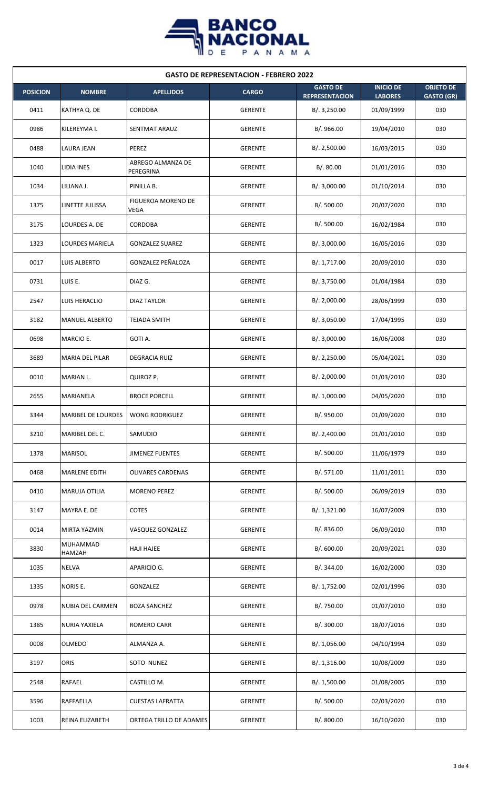

| <b>GASTO DE REPRESENTACION - FEBRERO 2022</b> |                           |                                          |                |                                          |                                    |                                       |  |  |
|-----------------------------------------------|---------------------------|------------------------------------------|----------------|------------------------------------------|------------------------------------|---------------------------------------|--|--|
| <b>POSICION</b>                               | <b>NOMBRE</b>             | <b>APELLIDOS</b>                         | <b>CARGO</b>   | <b>GASTO DE</b><br><b>REPRESENTACION</b> | <b>INICIO DE</b><br><b>LABORES</b> | <b>OBJETO DE</b><br><b>GASTO (GR)</b> |  |  |
| 0411                                          | KATHYA Q. DE              | CORDOBA                                  | <b>GERENTE</b> | B/. 3,250.00                             | 01/09/1999                         | 030                                   |  |  |
| 0986                                          | KILEREYMA I.              | SENTMAT ARAUZ                            | GERENTE        | B/. 966.00                               | 19/04/2010                         | 030                                   |  |  |
| 0488                                          | LAURA JEAN                | PEREZ                                    | GERENTE        | B/.2,500.00                              | 16/03/2015                         | 030                                   |  |  |
| 1040                                          | LIDIA INES                | ABREGO ALMANZA DE<br>PEREGRINA           | GERENTE        | B/.80.00                                 | 01/01/2016                         | 030                                   |  |  |
| 1034                                          | LILIANA J.                | PINILLA B.                               | <b>GERENTE</b> | B/. 3,000.00                             | 01/10/2014                         | 030                                   |  |  |
| 1375                                          | LINETTE JULISSA           | <b>FIGUEROA MORENO DE</b><br><b>VEGA</b> | <b>GERENTE</b> | B/. 500.00                               | 20/07/2020                         | 030                                   |  |  |
| 3175                                          | LOURDES A. DE             | <b>CORDOBA</b>                           | <b>GERENTE</b> | B/. 500.00                               | 16/02/1984                         | 030                                   |  |  |
| 1323                                          | LOURDES MARIELA           | <b>GONZALEZ SUAREZ</b>                   | <b>GERENTE</b> | B/. 3,000.00                             | 16/05/2016                         | 030                                   |  |  |
| 0017                                          | LUIS ALBERTO              | GONZALEZ PEÑALOZA                        | <b>GERENTE</b> | B/. 1,717.00                             | 20/09/2010                         | 030                                   |  |  |
| 0731                                          | LUIS E.                   | DIAZ G.                                  | <b>GERENTE</b> | B/. 3,750.00                             | 01/04/1984                         | 030                                   |  |  |
| 2547                                          | <b>LUIS HERACLIO</b>      | <b>DIAZ TAYLOR</b>                       | <b>GERENTE</b> | B/.2,000.00                              | 28/06/1999                         | 030                                   |  |  |
| 3182                                          | <b>MANUEL ALBERTO</b>     | <b>TEJADA SMITH</b>                      | <b>GERENTE</b> | B/. 3,050.00                             | 17/04/1995                         | 030                                   |  |  |
| 0698                                          | MARCIO E.                 | GOTI A.                                  | <b>GERENTE</b> | B/. 3,000.00                             | 16/06/2008                         | 030                                   |  |  |
| 3689                                          | MARIA DEL PILAR           | <b>DEGRACIA RUIZ</b>                     | <b>GERENTE</b> | B/. 2,250.00                             | 05/04/2021                         | 030                                   |  |  |
| 0010                                          | MARIAN L.                 | QUIROZ P.                                | <b>GERENTE</b> | B/. 2,000.00                             | 01/03/2010                         | 030                                   |  |  |
| 2655                                          | MARIANELA                 | <b>BROCE PORCELL</b>                     | <b>GERENTE</b> | B/. 1,000.00                             | 04/05/2020                         | 030                                   |  |  |
| 3344                                          | <b>MARIBEL DE LOURDES</b> | <b>WONG RODRIGUEZ</b>                    | <b>GERENTE</b> | B/. 950.00                               | 01/09/2020                         | 030                                   |  |  |
| 3210                                          | MARIBEL DEL C.            | SAMUDIO                                  | <b>GERENTE</b> | B/.2,400.00                              | 01/01/2010                         | 030                                   |  |  |
| 1378                                          | <b>MARISOL</b>            | <b>JIMENEZ FUENTES</b>                   | GERENTE        | B/.500.00                                | 11/06/1979                         | 030                                   |  |  |
| 0468                                          | <b>MARLENE EDITH</b>      | <b>OLIVARES CARDENAS</b>                 | <b>GERENTE</b> | B/.571.00                                | 11/01/2011                         | 030                                   |  |  |
| 0410                                          | <b>MARUJA OTILIA</b>      | <b>MORENO PEREZ</b>                      | <b>GERENTE</b> | B/.500.00                                | 06/09/2019                         | 030                                   |  |  |
| 3147                                          | MAYRA E. DE               | <b>COTES</b>                             | <b>GERENTE</b> | B/. 1,321.00                             | 16/07/2009                         | 030                                   |  |  |
| 0014                                          | MIRTA YAZMIN              | VASQUEZ GONZALEZ                         | <b>GERENTE</b> | B/. 836.00                               | 06/09/2010                         | 030                                   |  |  |
| 3830                                          | MUHAMMAD<br>HAMZAH        | <b>HAJI HAJEE</b>                        | <b>GERENTE</b> | B/0.600.00                               | 20/09/2021                         | 030                                   |  |  |
| 1035                                          | <b>NELVA</b>              | APARICIO G.                              | <b>GERENTE</b> | B/. 344.00                               | 16/02/2000                         | 030                                   |  |  |
| 1335                                          | <b>NORIS E.</b>           | GONZALEZ                                 | <b>GERENTE</b> | B/. 1,752.00                             | 02/01/1996                         | 030                                   |  |  |
| 0978                                          | <b>NUBIA DEL CARMEN</b>   | <b>BOZA SANCHEZ</b>                      | <b>GERENTE</b> | B/. 750.00                               | 01/07/2010                         | 030                                   |  |  |
| 1385                                          | <b>NURIA YAXIELA</b>      | ROMERO CARR                              | <b>GERENTE</b> | B/. 300.00                               | 18/07/2016                         | 030                                   |  |  |
| 0008                                          | OLMEDO                    | ALMANZA A.                               | <b>GERENTE</b> | B/. 1,056.00                             | 04/10/1994                         | 030                                   |  |  |
| 3197                                          | <b>ORIS</b>               | SOTO NUNEZ                               | <b>GERENTE</b> | B/. 1,316.00                             | 10/08/2009                         | 030                                   |  |  |
| 2548                                          | RAFAEL                    | CASTILLO M.                              | GERENTE        | B/. 1,500.00                             | 01/08/2005                         | 030                                   |  |  |
| 3596                                          | RAFFAELLA                 | <b>CUESTAS LAFRATTA</b>                  | <b>GERENTE</b> | B/.500.00                                | 02/03/2020                         | 030                                   |  |  |
| 1003                                          | REINA ELIZABETH           | ORTEGA TRILLO DE ADAMES                  | <b>GERENTE</b> | B/. 800.00                               | 16/10/2020                         | 030                                   |  |  |